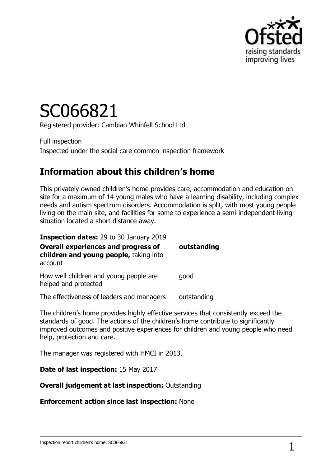

# SC066821

Registered provider: Cambian Whinfell School Ltd

Full inspection Inspected under the social care common inspection framework

## **Information about this children's home**

This privately owned children's home provides care, accommodation and education on site for a maximum of 14 young males who have a learning disability, including complex needs and autism spectrum disorders. Accommodation is split, with most young people living on the main site, and facilities for some to experience a semi-independent living situation located a short distance away.

| <b>Inspection dates: 29 to 30 January 2019</b>                                                  |             |
|-------------------------------------------------------------------------------------------------|-------------|
| <b>Overall experiences and progress of</b><br>children and young people, taking into<br>account | outstanding |
| How well children and young people are<br>helped and protected                                  | qood        |
| The effectiveness of leaders and managers                                                       | outstanding |

The children's home provides highly effective services that consistently exceed the standards of good. The actions of the children's home contribute to significantly improved outcomes and positive experiences for children and young people who need help, protection and care.

The manager was registered with HMCI in 2013.

**Date of last inspection:** 15 May 2017

#### **Overall judgement at last inspection:** Outstanding

**Enforcement action since last inspection:** None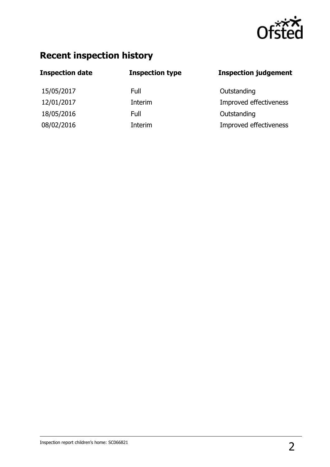

## **Recent inspection history**

| <b>Inspection date</b> | <b>Inspection type</b> | <b>Inspection judgement</b> |
|------------------------|------------------------|-----------------------------|
| 15/05/2017             | Full                   | Outstanding                 |
| 12/01/2017             | Interim                | Improved effectiveness      |
| 18/05/2016             | Full                   | Outstanding                 |
| 08/02/2016             | Interim                | Improved effectiveness      |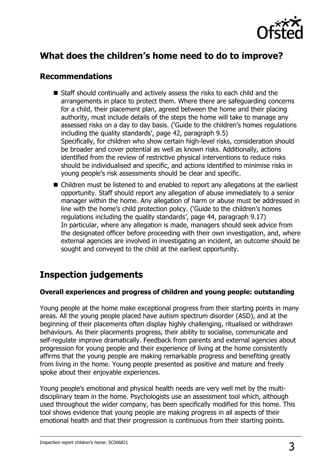

## **What does the children's home need to do to improve?**

#### **Recommendations**

- Staff should continually and actively assess the risks to each child and the arrangements in place to protect them. Where there are safeguarding concerns for a child, their placement plan, agreed between the home and their placing authority, must include details of the steps the home will take to manage any assessed risks on a day to day basis. ('Guide to the children's homes regulations including the quality standards', page 42, paragraph 9.5) Specifically, for children who show certain high-level risks, consideration should be broader and cover potential as well as known risks. Additionally, actions identified from the review of restrictive physical interventions to reduce risks should be individualised and specific, and actions identified to minimise risks in young people's risk assessments should be clear and specific.
- Children must be listened to and enabled to report any allegations at the earliest opportunity. Staff should report any allegation of abuse immediately to a senior manager within the home. Any allegation of harm or abuse must be addressed in line with the home's child protection policy. ('Guide to the children's homes regulations including the quality standards', page 44, paragraph 9.17) In particular, where any allegation is made, managers should seek advice from the designated officer before proceeding with their own investigation, and, where external agencies are involved in investigating an incident, an outcome should be sought and conveyed to the child at the earliest opportunity.

## **Inspection judgements**

#### **Overall experiences and progress of children and young people: outstanding**

Young people at the home make exceptional progress from their starting points in many areas. All the young people placed have autism spectrum disorder (ASD), and at the beginning of their placements often display highly challenging, ritualised or withdrawn behaviours. As their placements progress, their ability to socialise, communicate and self-regulate improve dramatically. Feedback from parents and external agencies about progression for young people and their experience of living at the home consistently affirms that the young people are making remarkable progress and benefiting greatly from living in the home. Young people presented as positive and mature and freely spoke about their enjoyable experiences.

Young people's emotional and physical health needs are very well met by the multidisciplinary team in the home. Psychologists use an assessment tool which, although used throughout the wider company, has been specifically modified for this home. This tool shows evidence that young people are making progress in all aspects of their emotional health and that their progression is continuous from their starting points.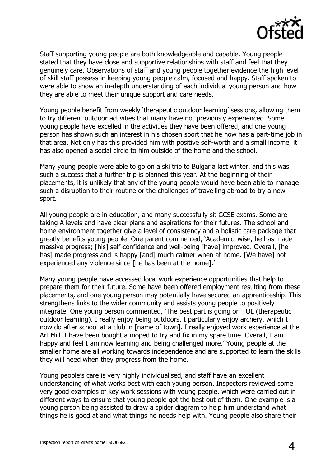

Staff supporting young people are both knowledgeable and capable. Young people stated that they have close and supportive relationships with staff and feel that they genuinely care. Observations of staff and young people together evidence the high level of skill staff possess in keeping young people calm, focused and happy. Staff spoken to were able to show an in-depth understanding of each individual young person and how they are able to meet their unique support and care needs.

Young people benefit from weekly 'therapeutic outdoor learning' sessions, allowing them to try different outdoor activities that many have not previously experienced. Some young people have excelled in the activities they have been offered, and one young person has shown such an interest in his chosen sport that he now has a part-time job in that area. Not only has this provided him with positive self-worth and a small income, it has also opened a social circle to him outside of the home and the school.

Many young people were able to go on a ski trip to Bulgaria last winter, and this was such a success that a further trip is planned this year. At the beginning of their placements, it is unlikely that any of the young people would have been able to manage such a disruption to their routine or the challenges of travelling abroad to try a new sport.

All young people are in education, and many successfully sit GCSE exams. Some are taking A levels and have clear plans and aspirations for their futures. The school and home environment together give a level of consistency and a holistic care package that greatly benefits young people. One parent commented, 'Academic–wise, he has made massive progress; [his] self-confidence and well-being [have] improved. Overall, [he has] made progress and is happy [and] much calmer when at home. [We have] not experienced any violence since [he has been at the home].'

Many young people have accessed local work experience opportunities that help to prepare them for their future. Some have been offered employment resulting from these placements, and one young person may potentially have secured an apprenticeship. This strengthens links to the wider community and assists young people to positively integrate. One young person commented, 'The best part is going on TOL (therapeutic outdoor learning). I really enjoy being outdoors. I particularly enjoy archery, which I now do after school at a club in [name of town]. I really enjoyed work experience at the Art Mill. I have been bought a moped to try and fix in my spare time. Overall, I am happy and feel I am now learning and being challenged more.' Young people at the smaller home are all working towards independence and are supported to learn the skills they will need when they progress from the home.

Young people's care is very highly individualised, and staff have an excellent understanding of what works best with each young person. Inspectors reviewed some very good examples of key work sessions with young people, which were carried out in different ways to ensure that young people got the best out of them. One example is a young person being assisted to draw a spider diagram to help him understand what things he is good at and what things he needs help with. Young people also share their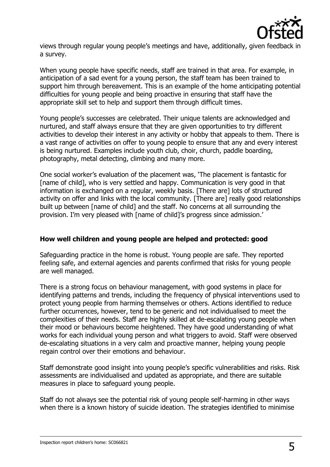

views through regular young people's meetings and have, additionally, given feedback in a survey.

When young people have specific needs, staff are trained in that area. For example, in anticipation of a sad event for a young person, the staff team has been trained to support him through bereavement. This is an example of the home anticipating potential difficulties for young people and being proactive in ensuring that staff have the appropriate skill set to help and support them through difficult times.

Young people's successes are celebrated. Their unique talents are acknowledged and nurtured, and staff always ensure that they are given opportunities to try different activities to develop their interest in any activity or hobby that appeals to them. There is a vast range of activities on offer to young people to ensure that any and every interest is being nurtured. Examples include youth club, choir, church, paddle boarding, photography, metal detecting, climbing and many more.

One social worker's evaluation of the placement was, 'The placement is fantastic for [name of child], who is very settled and happy. Communication is very good in that information is exchanged on a regular, weekly basis. [There are] lots of structured activity on offer and links with the local community. [There are] really good relationships built up between [name of child] and the staff. No concerns at all surrounding the provision. I'm very pleased with [name of child]'s progress since admission.'

#### **How well children and young people are helped and protected: good**

Safeguarding practice in the home is robust. Young people are safe. They reported feeling safe, and external agencies and parents confirmed that risks for young people are well managed.

There is a strong focus on behaviour management, with good systems in place for identifying patterns and trends, including the frequency of physical interventions used to protect young people from harming themselves or others. Actions identified to reduce further occurrences, however, tend to be generic and not individualised to meet the complexities of their needs. Staff are highly skilled at de-escalating young people when their mood or behaviours become heightened. They have good understanding of what works for each individual young person and what triggers to avoid. Staff were observed de-escalating situations in a very calm and proactive manner, helping young people regain control over their emotions and behaviour.

Staff demonstrate good insight into young people's specific vulnerabilities and risks. Risk assessments are individualised and updated as appropriate, and there are suitable measures in place to safeguard young people.

Staff do not always see the potential risk of young people self-harming in other ways when there is a known history of suicide ideation. The strategies identified to minimise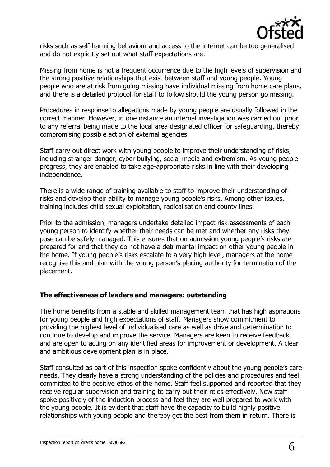

risks such as self-harming behaviour and access to the internet can be too generalised and do not explicitly set out what staff expectations are.

Missing from home is not a frequent occurrence due to the high levels of supervision and the strong positive relationships that exist between staff and young people. Young people who are at risk from going missing have individual missing from home care plans, and there is a detailed protocol for staff to follow should the young person go missing.

Procedures in response to allegations made by young people are usually followed in the correct manner. However, in one instance an internal investigation was carried out prior to any referral being made to the local area designated officer for safeguarding, thereby compromising possible action of external agencies.

Staff carry out direct work with young people to improve their understanding of risks, including stranger danger, cyber bullying, social media and extremism. As young people progress, they are enabled to take age-appropriate risks in line with their developing independence.

There is a wide range of training available to staff to improve their understanding of risks and develop their ability to manage young people's risks. Among other issues, training includes child sexual exploitation, radicalisation and county lines.

Prior to the admission, managers undertake detailed impact risk assessments of each young person to identify whether their needs can be met and whether any risks they pose can be safely managed. This ensures that on admission young people's risks are prepared for and that they do not have a detrimental impact on other young people in the home. If young people's risks escalate to a very high level, managers at the home recognise this and plan with the young person's placing authority for termination of the placement.

#### **The effectiveness of leaders and managers: outstanding**

The home benefits from a stable and skilled management team that has high aspirations for young people and high expectations of staff. Managers show commitment to providing the highest level of individualised care as well as drive and determination to continue to develop and improve the service. Managers are keen to receive feedback and are open to acting on any identified areas for improvement or development. A clear and ambitious development plan is in place.

Staff consulted as part of this inspection spoke confidently about the young people's care needs. They clearly have a strong understanding of the policies and procedures and feel committed to the positive ethos of the home. Staff feel supported and reported that they receive regular supervision and training to carry out their roles effectively. New staff spoke positively of the induction process and feel they are well prepared to work with the young people. It is evident that staff have the capacity to build highly positive relationships with young people and thereby get the best from them in return. There is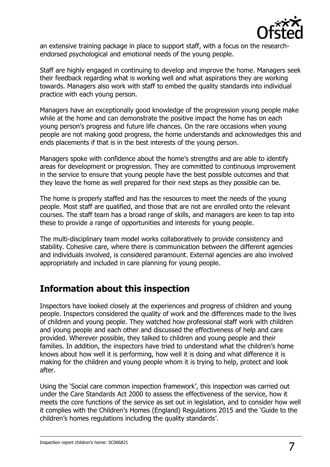

an extensive training package in place to support staff, with a focus on the researchendorsed psychological and emotional needs of the young people.

Staff are highly engaged in continuing to develop and improve the home. Managers seek their feedback regarding what is working well and what aspirations they are working towards. Managers also work with staff to embed the quality standards into individual practice with each young person.

Managers have an exceptionally good knowledge of the progression young people make while at the home and can demonstrate the positive impact the home has on each young person's progress and future life chances. On the rare occasions when young people are not making good progress, the home understands and acknowledges this and ends placements if that is in the best interests of the young person.

Managers spoke with confidence about the home's strengths and are able to identify areas for development or progression. They are committed to continuous improvement in the service to ensure that young people have the best possible outcomes and that they leave the home as well prepared for their next steps as they possible can be.

The home is properly staffed and has the resources to meet the needs of the young people. Most staff are qualified, and those that are not are enrolled onto the relevant courses. The staff team has a broad range of skills, and managers are keen to tap into these to provide a range of opportunities and interests for young people.

The multi-disciplinary team model works collaboratively to provide consistency and stability. Cohesive care, where there is communication between the different agencies and individuals involved, is considered paramount. External agencies are also involved appropriately and included in care planning for young people.

## **Information about this inspection**

Inspectors have looked closely at the experiences and progress of children and young people. Inspectors considered the quality of work and the differences made to the lives of children and young people. They watched how professional staff work with children and young people and each other and discussed the effectiveness of help and care provided. Wherever possible, they talked to children and young people and their families. In addition, the inspectors have tried to understand what the children's home knows about how well it is performing, how well it is doing and what difference it is making for the children and young people whom it is trying to help, protect and look after.

Using the 'Social care common inspection framework', this inspection was carried out under the Care Standards Act 2000 to assess the effectiveness of the service, how it meets the core functions of the service as set out in legislation, and to consider how well it complies with the Children's Homes (England) Regulations 2015 and the 'Guide to the children's homes regulations including the quality standards'.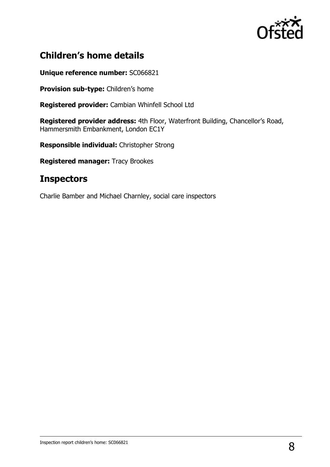

## **Children's home details**

**Unique reference number:** SC066821

**Provision sub-type:** Children's home

**Registered provider:** Cambian Whinfell School Ltd

**Registered provider address:** 4th Floor, Waterfront Building, Chancellor's Road, Hammersmith Embankment, London EC1Y

**Responsible individual:** Christopher Strong

**Registered manager:** Tracy Brookes

### **Inspectors**

Charlie Bamber and Michael Charnley, social care inspectors